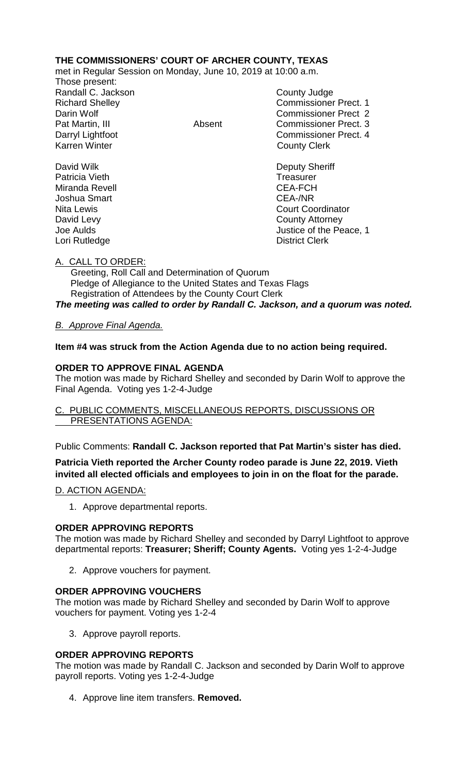## **THE COMMISSIONERS' COURT OF ARCHER COUNTY, TEXAS**

met in Regular Session on Monday, June 10, 2019 at 10:00 a.m.

Those present: Randall C. Jackson County Judge

Richard Shelley **Commissioner Prect. 1** Darin Wolf Commissioner Prect 2 Pat Martin, III **Absent** Commissioner Prect. 3 Darryl Lightfoot **Commissioner Prect. 4**<br>
Karren Winter **County County Clerk County Clerk** 

David Wilk **Deputy Sheriff** Patricia Vieth **Treasurer Treasurer** Miranda Revell **CEA-FCH** Joshua Smart CEA-/NR Nita Lewis **Court Coordinator** Court Coordinator David Levy **County Attorney** Joe Aulds Justice of the Peace, 1 Lori Rutledge **District Clerk** 

A. CALL TO ORDER:

 Greeting, Roll Call and Determination of Quorum Pledge of Allegiance to the United States and Texas Flags Registration of Attendees by the County Court Clerk *The meeting was called to order by Randall C. Jackson, and a quorum was noted.*

## *B. Approve Final Agenda.*

**Item #4 was struck from the Action Agenda due to no action being required.**

### **ORDER TO APPROVE FINAL AGENDA**

The motion was made by Richard Shelley and seconded by Darin Wolf to approve the Final Agenda. Voting yes 1-2-4-Judge

PUBLIC COMMENTS, MISCELLANEOUS REPORTS, DISCUSSIONS OR PRESENTATIONS AGENDA:

Public Comments: **Randall C. Jackson reported that Pat Martin's sister has died.**

**Patricia Vieth reported the Archer County rodeo parade is June 22, 2019. Vieth invited all elected officials and employees to join in on the float for the parade.**

### D. ACTION AGENDA:

1. Approve departmental reports.

### **ORDER APPROVING REPORTS**

The motion was made by Richard Shelley and seconded by Darryl Lightfoot to approve departmental reports: **Treasurer; Sheriff; County Agents.** Voting yes 1-2-4-Judge

2. Approve vouchers for payment.

### **ORDER APPROVING VOUCHERS**

The motion was made by Richard Shelley and seconded by Darin Wolf to approve vouchers for payment. Voting yes 1-2-4

3. Approve payroll reports.

### **ORDER APPROVING REPORTS**

The motion was made by Randall C. Jackson and seconded by Darin Wolf to approve payroll reports. Voting yes 1-2-4-Judge

4. Approve line item transfers. **Removed.**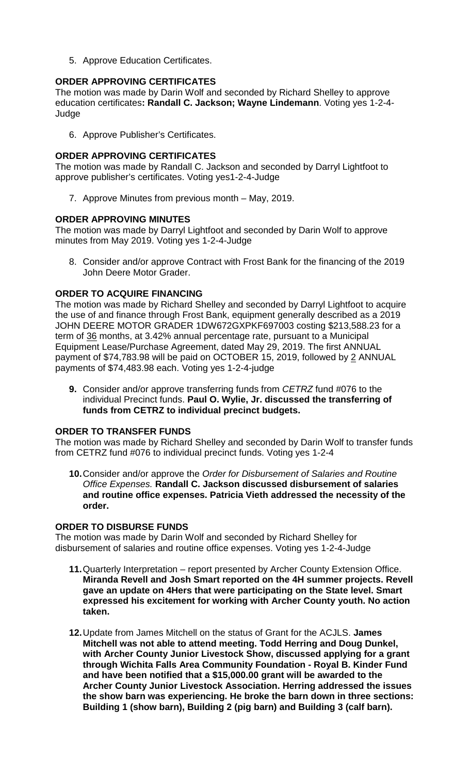5. Approve Education Certificates.

## **ORDER APPROVING CERTIFICATES**

The motion was made by Darin Wolf and seconded by Richard Shelley to approve education certificates**: Randall C. Jackson; Wayne Lindemann**. Voting yes 1-2-4- **Judge** 

6. Approve Publisher's Certificates.

### **ORDER APPROVING CERTIFICATES**

The motion was made by Randall C. Jackson and seconded by Darryl Lightfoot to approve publisher's certificates. Voting yes1-2-4-Judge

7. Approve Minutes from previous month – May, 2019.

### **ORDER APPROVING MINUTES**

The motion was made by Darryl Lightfoot and seconded by Darin Wolf to approve minutes from May 2019. Voting yes 1-2-4-Judge

8. Consider and/or approve Contract with Frost Bank for the financing of the 2019 John Deere Motor Grader.

### **ORDER TO ACQUIRE FINANCING**

The motion was made by Richard Shelley and seconded by Darryl Lightfoot to acquire the use of and finance through Frost Bank, equipment generally described as a 2019 JOHN DEERE MOTOR GRADER 1DW672GXPKF697003 costing \$213,588.23 for a term of 36 months, at 3.42% annual percentage rate, pursuant to a Municipal Equipment Lease/Purchase Agreement, dated May 29, 2019. The first ANNUAL payment of \$74,783.98 will be paid on OCTOBER 15, 2019, followed by 2 ANNUAL payments of \$74,483.98 each. Voting yes 1-2-4-judge

**9.** Consider and/or approve transferring funds from *CETRZ* fund #076 to the individual Precinct funds. **Paul O. Wylie, Jr. discussed the transferring of funds from CETRZ to individual precinct budgets.**

### **ORDER TO TRANSFER FUNDS**

The motion was made by Richard Shelley and seconded by Darin Wolf to transfer funds from CETRZ fund #076 to individual precinct funds. Voting yes 1-2-4

**10.**Consider and/or approve the *Order for Disbursement of Salaries and Routine Office Expenses.* **Randall C. Jackson discussed disbursement of salaries and routine office expenses. Patricia Vieth addressed the necessity of the order.**

### **ORDER TO DISBURSE FUNDS**

The motion was made by Darin Wolf and seconded by Richard Shelley for disbursement of salaries and routine office expenses. Voting yes 1-2-4-Judge

- **11.**Quarterly Interpretation report presented by Archer County Extension Office. **Miranda Revell and Josh Smart reported on the 4H summer projects. Revell gave an update on 4Hers that were participating on the State level. Smart expressed his excitement for working with Archer County youth. No action taken.**
- **12.**Update from James Mitchell on the status of Grant for the ACJLS. **James Mitchell was not able to attend meeting. Todd Herring and Doug Dunkel, with Archer County Junior Livestock Show, discussed applying for a grant through Wichita Falls Area Community Foundation - Royal B. Kinder Fund and have been notified that a \$15,000.00 grant will be awarded to the Archer County Junior Livestock Association. Herring addressed the issues the show barn was experiencing. He broke the barn down in three sections: Building 1 (show barn), Building 2 (pig barn) and Building 3 (calf barn).**